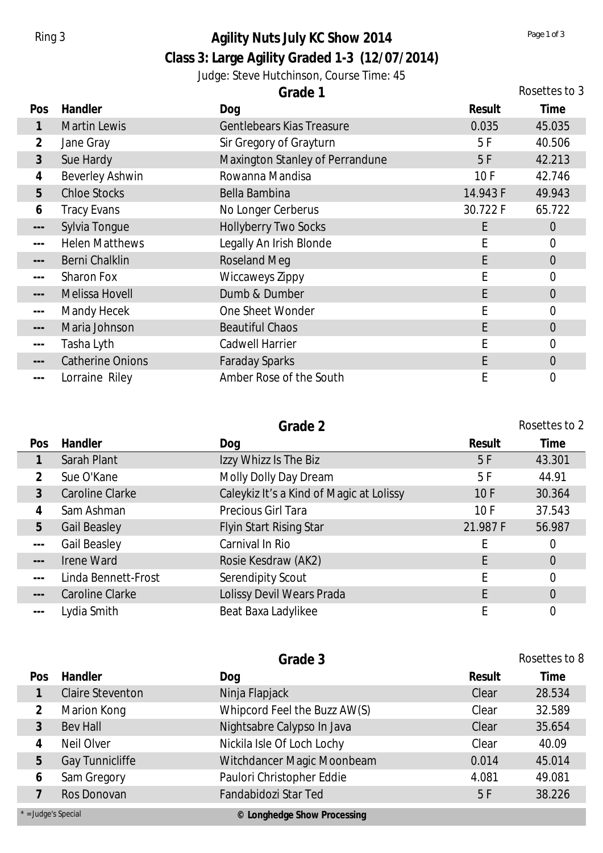## **Class 3: Large Agility Graded 1-3 (12/07/2014)** Ring 3 **Agility Nuts July KC Show 2014** *Page 1 of 3 Page 1 of 3*

Judge: Steve Hutchinson, Course Time: 45

|                      |                         | Grade 1                          |          | Rosettes to 3    |
|----------------------|-------------------------|----------------------------------|----------|------------------|
| Pos                  | Handler                 | Dog                              | Result   | Time             |
|                      | <b>Martin Lewis</b>     | <b>Gentlebears Kias Treasure</b> | 0.035    | 45.035           |
| $\overline{2}$       | Jane Gray               | Sir Gregory of Grayturn          | 5 F      | 40.506           |
| $\mathfrak{Z}$       | Sue Hardy               | Maxington Stanley of Perrandune  | 5F       | 42.213           |
| 4                    | <b>Beverley Ashwin</b>  | Rowanna Mandisa                  | 10F      | 42.746           |
| $5\overline{)}$      | <b>Chloe Stocks</b>     | Bella Bambina                    | 14.943 F | 49.943           |
| 6                    | <b>Tracy Evans</b>      | No Longer Cerberus               | 30.722 F | 65.722           |
| $\qquad \qquad - -$  | Sylvia Tongue           | <b>Hollyberry Two Socks</b>      | E        | $\overline{0}$   |
| $\qquad \qquad -$    | <b>Helen Matthews</b>   | Legally An Irish Blonde          | Ε        | $\overline{0}$   |
| $\qquad \qquad - -$  | Berni Chalklin          | <b>Roseland Meg</b>              | E        | $\boldsymbol{0}$ |
| $- - -$              | <b>Sharon Fox</b>       | Wiccaweys Zippy                  | Е        | $\overline{0}$   |
| $\qquad \qquad - -$  | Melissa Hovell          | Dumb & Dumber                    | E        | $\theta$         |
| $\sim$ $\sim$ $\sim$ | Mandy Hecek             | One Sheet Wonder                 |          | $\overline{0}$   |
| $\sim$ $\sim$ $\sim$ | Maria Johnson           | <b>Beautiful Chaos</b>           | E        | $\overline{0}$   |
| $- - -$              | Tasha Lyth              | Cadwell Harrier                  |          | $\overline{0}$   |
|                      | <b>Catherine Onions</b> | <b>Faraday Sparks</b>            | E        | $\theta$         |
| $\cdots$             | Lorraine Riley          | Amber Rose of the South          | Ε        | $\overline{0}$   |

|                      |                     | Grade 2                                  |          | Rosettes to 2  |
|----------------------|---------------------|------------------------------------------|----------|----------------|
| Pos                  | Handler             | Dog                                      | Result   | Time           |
|                      | Sarah Plant         | Izzy Whizz Is The Biz                    | 5F       | 43.301         |
| $\overline{2}$       | Sue O'Kane          | Molly Dolly Day Dream                    | 5F       | 44.91          |
| 3                    | Caroline Clarke     | Caleykiz It's a Kind of Magic at Lolissy | 10F      | 30.364         |
| 4                    | Sam Ashman          | Precious Girl Tara                       | 10F      | 37.543         |
| 5                    | <b>Gail Beasley</b> | <b>Flyin Start Rising Star</b>           | 21.987 F | 56.987         |
| $- - -$              | Gail Beasley        | Carnival In Rio                          |          | 0              |
| $\frac{1}{2}$        | Irene Ward          | Rosie Kesdraw (AK2)                      |          | $\overline{0}$ |
| $\sim$ $\sim$ $\sim$ | Linda Bennett-Frost | Serendipity Scout                        |          | $\overline{0}$ |
| $  -$                | Caroline Clarke     | Lolissy Devil Wears Prada                |          | $\overline{0}$ |
| $\sim$ $\sim$ $\sim$ | Lydia Smith         | Beat Baxa Ladylikee                      |          | 0              |

|                       |                         | Grade 3                      |        | Rosettes to 8 |
|-----------------------|-------------------------|------------------------------|--------|---------------|
| Pos                   | Handler                 | Dog                          | Result | Time          |
|                       | <b>Claire Steventon</b> | Ninja Flapjack               | Clear  | 28.534        |
| 3                     | Marion Kong             | Whipcord Feel the Buzz AW(S) | Clear  | 32.589        |
|                       | <b>Bev Hall</b>         | Nightsabre Calypso In Java   | Clear  | 35.654        |
| 4                     | Neil Olver              | Nickila Isle Of Loch Lochy   | Clear  | 40.09         |
| 5                     | Gay Tunnicliffe         | Witchdancer Magic Moonbeam   | 0.014  | 45.014        |
| 6                     | Sam Gregory             | Paulori Christopher Eddie    | 4.081  | 49.081        |
|                       | Ros Donovan             | Fandabidozi Star Ted         | 5F     | 38.226        |
| $*$ = Judge's Special |                         | © Longhedge Show Processing  |        |               |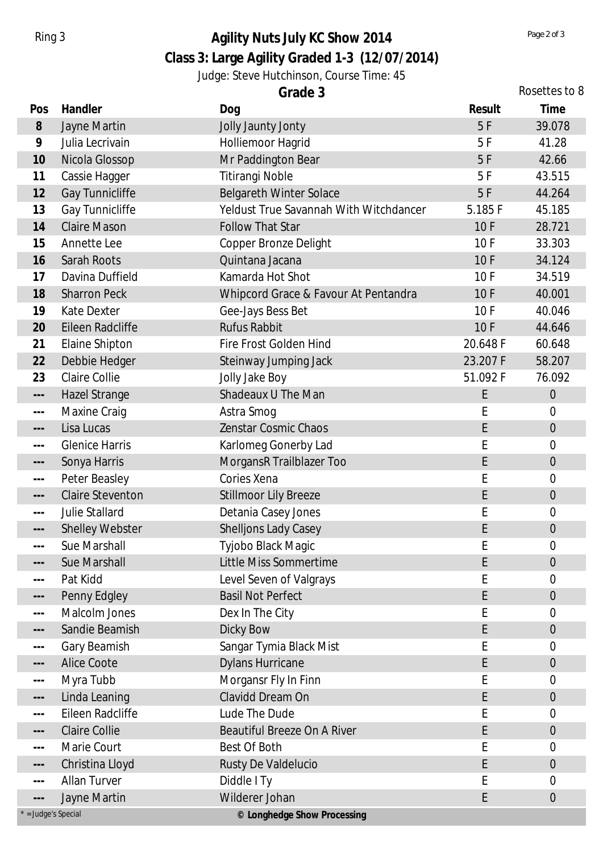# Ring 3 **Agility Nuts July KC Show 2014** *Page 2 of 3 Page 2 of 3*

## **Class 3: Large Agility Graded 1-3 (12/07/2014)**

#### Judge: Steve Hutchinson, Course Time: 45

| Gradel |  |  |
|--------|--|--|
|        |  |  |

|                          | Grade 3                 |                                        | Rosettes to 8 |                  |  |
|--------------------------|-------------------------|----------------------------------------|---------------|------------------|--|
| Pos                      | Handler                 | Dog                                    | Result        | Time             |  |
| 8                        | Jayne Martin            | Jolly Jaunty Jonty                     | 5F            | 39.078           |  |
| 9                        | Julia Lecrivain         | Holliemoor Hagrid                      | 5F            | 41.28            |  |
| 10                       | Nicola Glossop          | Mr Paddington Bear                     | 5F            | 42.66            |  |
| 11                       | Cassie Hagger           | <b>Titirangi Noble</b>                 | 5F            | 43.515           |  |
| 12                       | Gay Tunnicliffe         | <b>Belgareth Winter Solace</b>         | 5F            | 44.264           |  |
| 13                       | Gay Tunnicliffe         | Yeldust True Savannah With Witchdancer | 5.185F        | 45.185           |  |
| 14                       | <b>Claire Mason</b>     | <b>Follow That Star</b>                | 10F           | 28.721           |  |
| 15                       | Annette Lee             | Copper Bronze Delight                  | 10F           | 33.303           |  |
| 16                       | Sarah Roots             | Quintana Jacana                        | 10F           | 34.124           |  |
| 17                       | Davina Duffield         | Kamarda Hot Shot                       | 10F           | 34.519           |  |
| 18                       | <b>Sharron Peck</b>     | Whipcord Grace & Favour At Pentandra   | 10F           | 40.001           |  |
| 19                       | <b>Kate Dexter</b>      | Gee-Jays Bess Bet                      | 10F           | 40.046           |  |
| 20                       | Eileen Radcliffe        | <b>Rufus Rabbit</b>                    | 10F           | 44.646           |  |
| 21                       | Elaine Shipton          | Fire Frost Golden Hind                 | 20.648 F      | 60.648           |  |
| 22                       | Debbie Hedger           | Steinway Jumping Jack                  | 23.207 F      | 58.207           |  |
| 23                       | Claire Collie           | Jolly Jake Boy                         | 51.092 F      | 76.092           |  |
| $\scriptstyle{\cdots}$ . | <b>Hazel Strange</b>    | Shadeaux U The Man                     | E             | $\theta$         |  |
| $\sim$ $\sim$ $\sim$     | Maxine Craig            | Astra Smog                             | E             | 0                |  |
| $---$                    | Lisa Lucas              | Zenstar Cosmic Chaos                   | E             | $\boldsymbol{0}$ |  |
| $\sim$ $\sim$ $\sim$     | <b>Glenice Harris</b>   | Karlomeg Gonerby Lad                   | E             | $\mathbf 0$      |  |
| $\qquad \qquad - -$      | Sonya Harris            | MorgansR Trailblazer Too               | E             | $\boldsymbol{0}$ |  |
| $\sim$ $\sim$ $\sim$     | Peter Beasley           | Cories Xena                            | E             | 0                |  |
| $\sim$ $\sim$ $\sim$     | <b>Claire Steventon</b> | <b>Stillmoor Lily Breeze</b>           | E             | $\boldsymbol{0}$ |  |
| $\sim$ $\sim$ $\sim$     | <b>Julie Stallard</b>   | Detania Casey Jones                    | E             | 0                |  |
| $---$                    | <b>Shelley Webster</b>  | <b>Shelljons Lady Casey</b>            | E             | $\overline{0}$   |  |
|                          | Sue Marshall            | Tyjobo Black Magic                     |               | 0                |  |
| $---$                    | Sue Marshall            | Little Miss Sommertime                 | E             | 0                |  |
| $\sim$ $\sim$ $\sim$     | Pat Kidd                | Level Seven of Valgrays                | E             | 0                |  |
| $\qquad \qquad - -$      | Penny Edgley            | <b>Basil Not Perfect</b>               | E             | $\theta$         |  |
| $\sim$ $\sim$ $\sim$     | Malcolm Jones           | Dex In The City                        | Е             | 0                |  |
| $- -$                    | Sandie Beamish          | Dicky Bow                              | E             | $\boldsymbol{0}$ |  |
| $\sim$ $\sim$ $\sim$     | Gary Beamish            | Sangar Tymia Black Mist                | Е             | 0                |  |
| $\hspace{0.05cm}$ – – –  | <b>Alice Coote</b>      | <b>Dylans Hurricane</b>                | E             | $\theta$         |  |
| $\sim$ $\sim$ $\sim$     | Myra Tubb               | Morgansr Fly In Finn                   | E             | 0                |  |
| $---$                    | Linda Leaning           | Clavidd Dream On                       | E             | $\overline{0}$   |  |
| $\qquad \qquad -$        | Eileen Radcliffe        | Lude The Dude                          | E             | 0                |  |
| ---                      | <b>Claire Collie</b>    | <b>Beautiful Breeze On A River</b>     | E             | $\overline{0}$   |  |
| $\sim$ $\sim$ $\sim$     | Marie Court             | Best Of Both                           | E             | 0                |  |
| $---$                    | Christina Lloyd         | Rusty De Valdelucio                    | E             | $\overline{0}$   |  |
| $\sim$ $\sim$ $\sim$     | <b>Allan Turver</b>     | Diddle I Ty                            | E             | 0                |  |
| $---$                    | Jayne Martin            | Wilderer Johan                         | E             | $\mathbf 0$      |  |
| $*$ = Judge's Special    |                         | © Longhedge Show Processing            |               |                  |  |